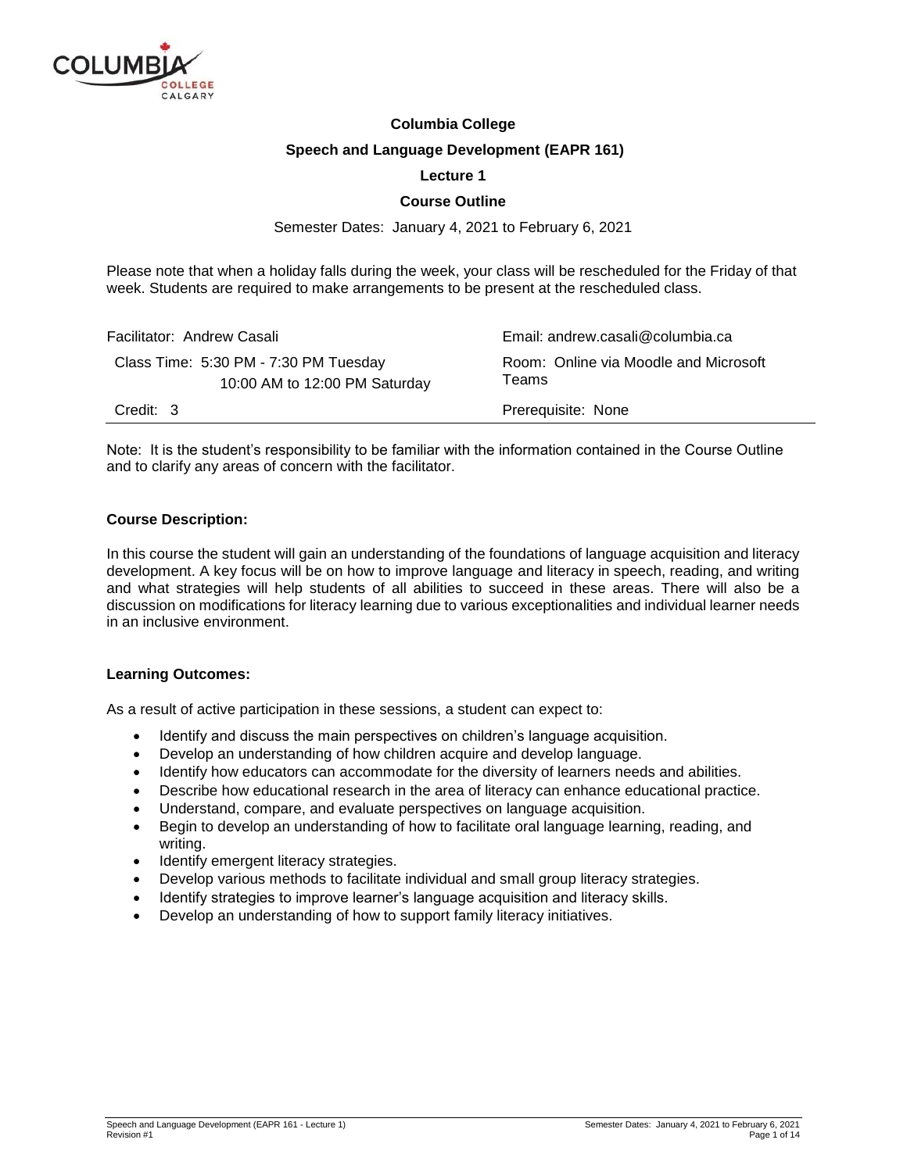

### **Columbia College**

#### **Speech and Language Development (EAPR 161)**

### **Lecture 1**

### **Course Outline**

Semester Dates: January 4, 2021 to February 6, 2021

Please note that when a holiday falls during the week, your class will be rescheduled for the Friday of that week. Students are required to make arrangements to be present at the rescheduled class.

| Facilitator: Andrew Casali                                             | Email: andrew.casali@columbia.ca               |  |
|------------------------------------------------------------------------|------------------------------------------------|--|
| Class Time: 5:30 PM - 7:30 PM Tuesday<br>10:00 AM to 12:00 PM Saturday | Room: Online via Moodle and Microsoft<br>Teams |  |
| Credit: 3                                                              | Prerequisite: None                             |  |

Note: It is the student's responsibility to be familiar with the information contained in the Course Outline and to clarify any areas of concern with the facilitator.

#### **Course Description:**

In this course the student will gain an understanding of the foundations of language acquisition and literacy development. A key focus will be on how to improve language and literacy in speech, reading, and writing and what strategies will help students of all abilities to succeed in these areas. There will also be a discussion on modifications for literacy learning due to various exceptionalities and individual learner needs in an inclusive environment.

#### **Learning Outcomes:**

As a result of active participation in these sessions, a student can expect to:

- Identify and discuss the main perspectives on children's language acquisition.
- Develop an understanding of how children acquire and develop language.
- Identify how educators can accommodate for the diversity of learners needs and abilities.
- Describe how educational research in the area of literacy can enhance educational practice.
- Understand, compare, and evaluate perspectives on language acquisition.
- Begin to develop an understanding of how to facilitate oral language learning, reading, and writing.
- Identify emergent literacy strategies.
- Develop various methods to facilitate individual and small group literacy strategies.
- Identify strategies to improve learner's language acquisition and literacy skills.
- Develop an understanding of how to support family literacy initiatives.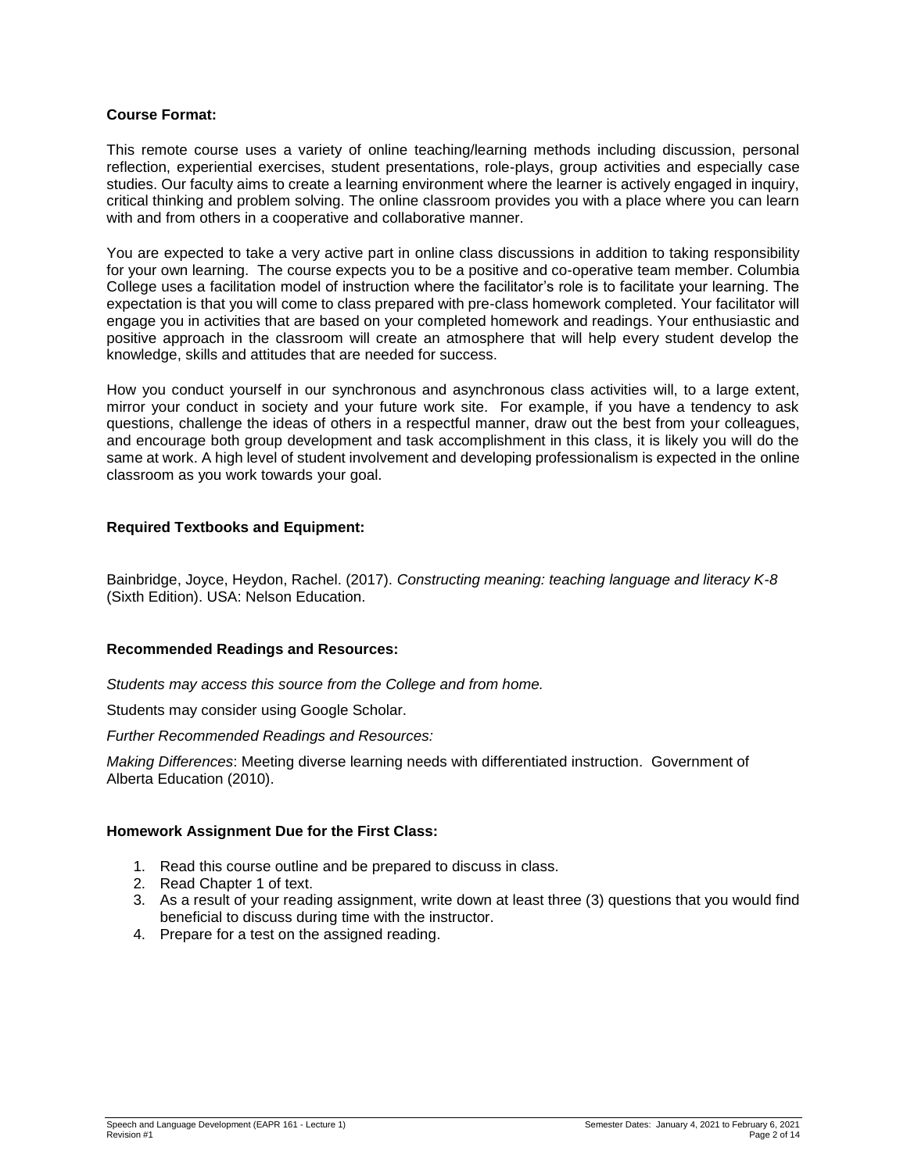### **Course Format:**

This remote course uses a variety of online teaching/learning methods including discussion, personal reflection, experiential exercises, student presentations, role-plays, group activities and especially case studies. Our faculty aims to create a learning environment where the learner is actively engaged in inquiry, critical thinking and problem solving. The online classroom provides you with a place where you can learn with and from others in a cooperative and collaborative manner.

You are expected to take a very active part in online class discussions in addition to taking responsibility for your own learning. The course expects you to be a positive and co-operative team member. Columbia College uses a facilitation model of instruction where the facilitator's role is to facilitate your learning. The expectation is that you will come to class prepared with pre-class homework completed. Your facilitator will engage you in activities that are based on your completed homework and readings. Your enthusiastic and positive approach in the classroom will create an atmosphere that will help every student develop the knowledge, skills and attitudes that are needed for success.

How you conduct yourself in our synchronous and asynchronous class activities will, to a large extent, mirror your conduct in society and your future work site. For example, if you have a tendency to ask questions, challenge the ideas of others in a respectful manner, draw out the best from your colleagues, and encourage both group development and task accomplishment in this class, it is likely you will do the same at work. A high level of student involvement and developing professionalism is expected in the online classroom as you work towards your goal.

### **Required Textbooks and Equipment:**

Bainbridge, Joyce, Heydon, Rachel. (2017). *Constructing meaning: teaching language and literacy K-8* (Sixth Edition). USA: Nelson Education.

#### **Recommended Readings and Resources:**

*Students may access this source from the College and from home.*

Students may consider using Google Scholar.

*Further Recommended Readings and Resources:*

*Making Differences*: Meeting diverse learning needs with differentiated instruction. Government of Alberta Education (2010).

#### **Homework Assignment Due for the First Class:**

- 1. Read this course outline and be prepared to discuss in class.
- 2. Read Chapter 1 of text.
- 3. As a result of your reading assignment, write down at least three (3) questions that you would find beneficial to discuss during time with the instructor.
- 4. Prepare for a test on the assigned reading.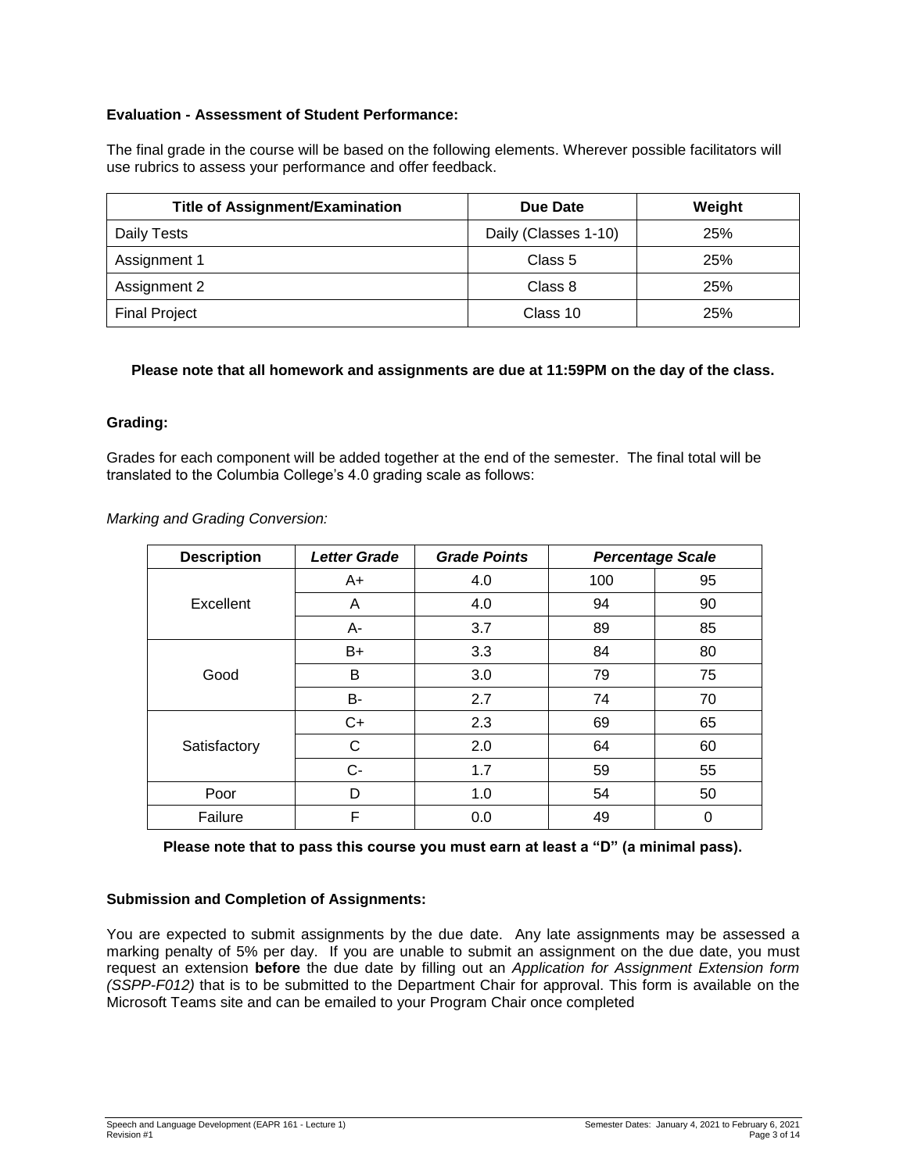# **Evaluation - Assessment of Student Performance:**

The final grade in the course will be based on the following elements. Wherever possible facilitators will use rubrics to assess your performance and offer feedback.

| <b>Title of Assignment/Examination</b> | Due Date             | Weight |
|----------------------------------------|----------------------|--------|
| Daily Tests                            | Daily (Classes 1-10) | 25%    |
| Assignment 1                           | Class 5              | 25%    |
| Assignment 2                           | Class 8              | 25%    |
| <b>Final Project</b>                   | Class 10             | 25%    |

### **Please note that all homework and assignments are due at 11:59PM on the day of the class.**

### **Grading:**

Grades for each component will be added together at the end of the semester. The final total will be translated to the Columbia College's 4.0 grading scale as follows:

*Marking and Grading Conversion:*

| <b>Description</b> | <b>Letter Grade</b> | <b>Grade Points</b> |     | <b>Percentage Scale</b> |
|--------------------|---------------------|---------------------|-----|-------------------------|
|                    | $A+$                | 4.0                 | 100 | 95                      |
| Excellent          | A                   | 4.0                 | 94  | 90                      |
|                    | A-                  | 3.7                 | 89  | 85                      |
|                    | $B+$                | 3.3                 | 84  | 80                      |
| Good               | B                   | 3.0                 | 79  | 75                      |
|                    | B-                  | 2.7                 | 74  | 70                      |
| Satisfactory       | $C+$                | 2.3                 | 69  | 65                      |
|                    | C                   | 2.0                 | 64  | 60                      |
|                    | $C-$                | 1.7                 | 59  | 55                      |
| Poor               | D                   | 1.0                 | 54  | 50                      |
| Failure            | F                   | 0.0                 | 49  | 0                       |

**Please note that to pass this course you must earn at least a "D" (a minimal pass).**

### **Submission and Completion of Assignments:**

You are expected to submit assignments by the due date. Any late assignments may be assessed a marking penalty of 5% per day. If you are unable to submit an assignment on the due date, you must request an extension **before** the due date by filling out an *Application for Assignment Extension form (SSPP-F012)* that is to be submitted to the Department Chair for approval. This form is available on the Microsoft Teams site and can be emailed to your Program Chair once completed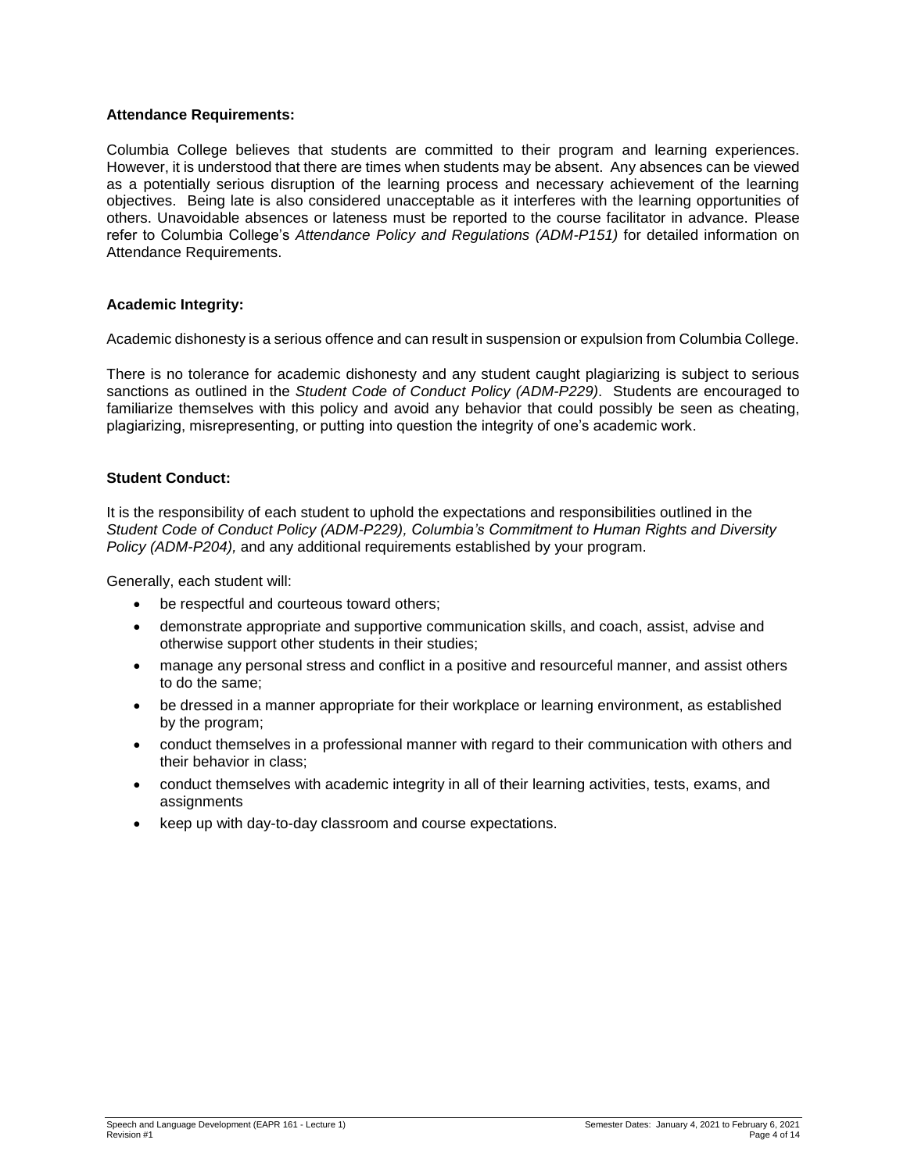### **Attendance Requirements:**

Columbia College believes that students are committed to their program and learning experiences. However, it is understood that there are times when students may be absent. Any absences can be viewed as a potentially serious disruption of the learning process and necessary achievement of the learning objectives. Being late is also considered unacceptable as it interferes with the learning opportunities of others. Unavoidable absences or lateness must be reported to the course facilitator in advance. Please refer to Columbia College's *Attendance Policy and Regulations (ADM-P151)* for detailed information on Attendance Requirements.

### **Academic Integrity:**

Academic dishonesty is a serious offence and can result in suspension or expulsion from Columbia College.

There is no tolerance for academic dishonesty and any student caught plagiarizing is subject to serious sanctions as outlined in the *Student Code of Conduct Policy (ADM-P229)*. Students are encouraged to familiarize themselves with this policy and avoid any behavior that could possibly be seen as cheating, plagiarizing, misrepresenting, or putting into question the integrity of one's academic work.

### **Student Conduct:**

It is the responsibility of each student to uphold the expectations and responsibilities outlined in the *Student Code of Conduct Policy (ADM-P229), Columbia's Commitment to Human Rights and Diversity Policy (ADM-P204),* and any additional requirements established by your program.

Generally, each student will:

- be respectful and courteous toward others;
- demonstrate appropriate and supportive communication skills, and coach, assist, advise and otherwise support other students in their studies;
- manage any personal stress and conflict in a positive and resourceful manner, and assist others to do the same;
- be dressed in a manner appropriate for their workplace or learning environment, as established by the program;
- conduct themselves in a professional manner with regard to their communication with others and their behavior in class;
- conduct themselves with academic integrity in all of their learning activities, tests, exams, and assignments
- keep up with day-to-day classroom and course expectations.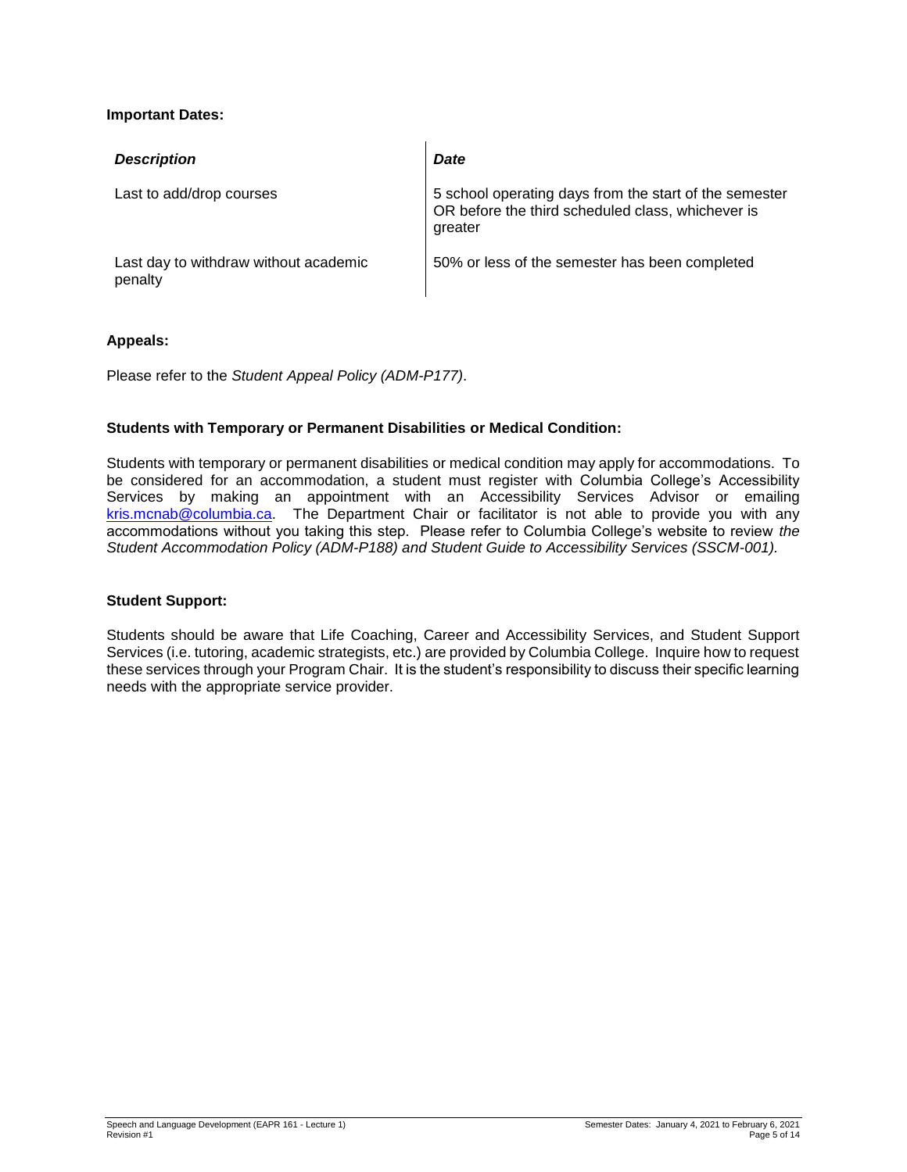## **Important Dates:**

| <b>Description</b>                               | <b>Date</b>                                                                                                            |
|--------------------------------------------------|------------------------------------------------------------------------------------------------------------------------|
| Last to add/drop courses                         | 5 school operating days from the start of the semester<br>OR before the third scheduled class, whichever is<br>greater |
| Last day to withdraw without academic<br>penalty | 50% or less of the semester has been completed                                                                         |

### **Appeals:**

Please refer to the *Student Appeal Policy (ADM-P177)*.

### **Students with Temporary or Permanent Disabilities or Medical Condition:**

Students with temporary or permanent disabilities or medical condition may apply for accommodations. To be considered for an accommodation, a student must register with Columbia College's Accessibility Services by making an appointment with an Accessibility Services Advisor or emailing [kris.mcnab@columbia.ca.](mailto:kris.mcnab@columbia.ca) The Department Chair or facilitator is not able to provide you with any accommodations without you taking this step. Please refer to Columbia College's website to review *the Student Accommodation Policy (ADM-P188) and Student Guide to Accessibility Services (SSCM-001).*

#### **Student Support:**

Students should be aware that Life Coaching, Career and Accessibility Services, and Student Support Services (i.e. tutoring, academic strategists, etc.) are provided by Columbia College. Inquire how to request these services through your Program Chair. It is the student's responsibility to discuss their specific learning needs with the appropriate service provider.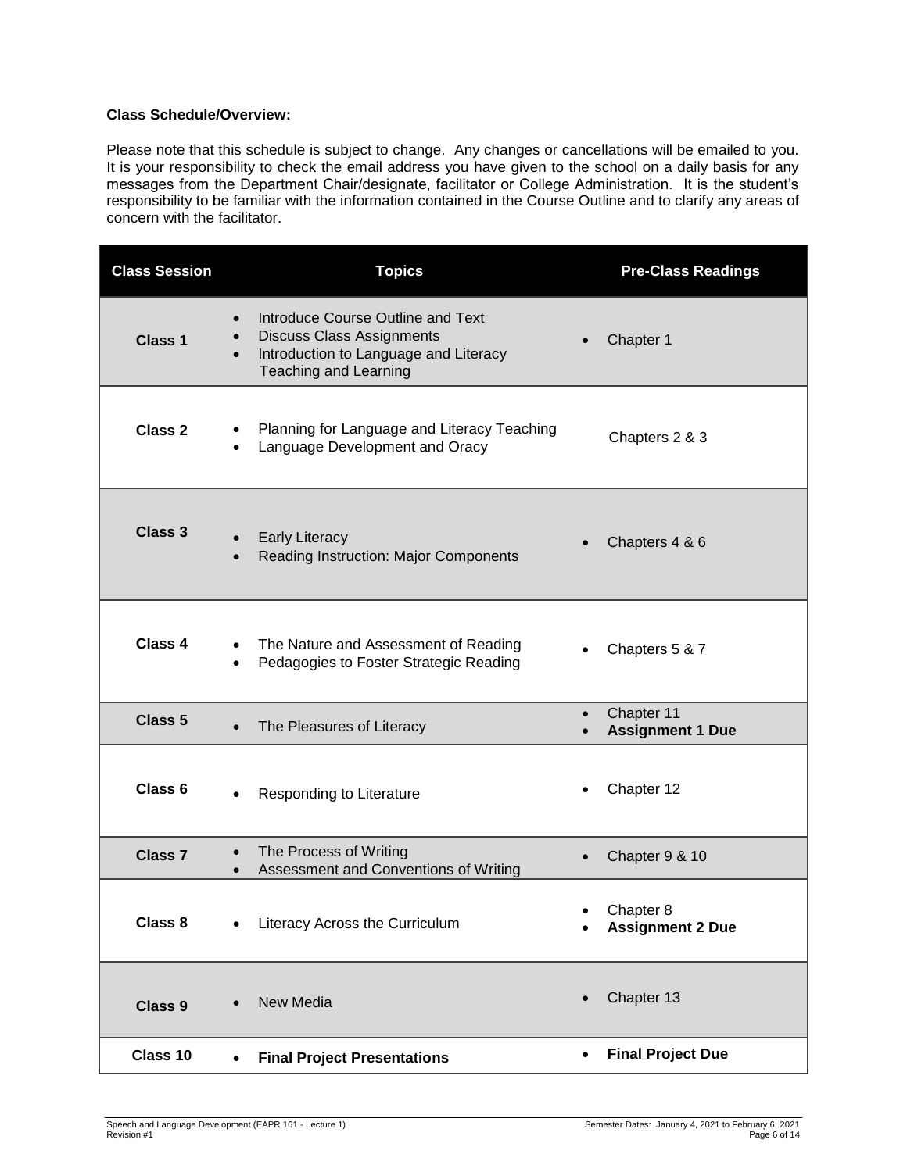### **Class Schedule/Overview:**

Please note that this schedule is subject to change. Any changes or cancellations will be emailed to you. It is your responsibility to check the email address you have given to the school on a daily basis for any messages from the Department Chair/designate, facilitator or College Administration. It is the student's responsibility to be familiar with the information contained in the Course Outline and to clarify any areas of concern with the facilitator.

| <b>Class Session</b> | <b>Topics</b>                                                                                                                                                     | <b>Pre-Class Readings</b>                          |
|----------------------|-------------------------------------------------------------------------------------------------------------------------------------------------------------------|----------------------------------------------------|
| Class <sub>1</sub>   | Introduce Course Outline and Text<br>$\bullet$<br><b>Discuss Class Assignments</b><br>Introduction to Language and Literacy<br>$\bullet$<br>Teaching and Learning | Chapter 1                                          |
| <b>Class 2</b>       | Planning for Language and Literacy Teaching<br>Language Development and Oracy                                                                                     | Chapters 2 & 3                                     |
| <b>Class 3</b>       | <b>Early Literacy</b><br>Reading Instruction: Major Components                                                                                                    | Chapters 4 & 6                                     |
| Class 4              | The Nature and Assessment of Reading<br>Pedagogies to Foster Strategic Reading                                                                                    | Chapters 5 & 7                                     |
| Class 5              | The Pleasures of Literacy<br>$\bullet$                                                                                                                            | Chapter 11<br>$\bullet$<br><b>Assignment 1 Due</b> |
| Class <sub>6</sub>   | Responding to Literature                                                                                                                                          | Chapter 12                                         |
| <b>Class 7</b>       | The Process of Writing<br>$\bullet$<br>Assessment and Conventions of Writing<br>$\bullet$                                                                         | Chapter 9 & 10                                     |
| Class 8              | Literacy Across the Curriculum<br>$\bullet$                                                                                                                       | Chapter 8<br><b>Assignment 2 Due</b>               |
| Class 9              | New Media                                                                                                                                                         | Chapter 13<br>$\bullet$                            |
| Class 10             | <b>Final Project Presentations</b><br>$\bullet$                                                                                                                   | <b>Final Project Due</b><br>٠                      |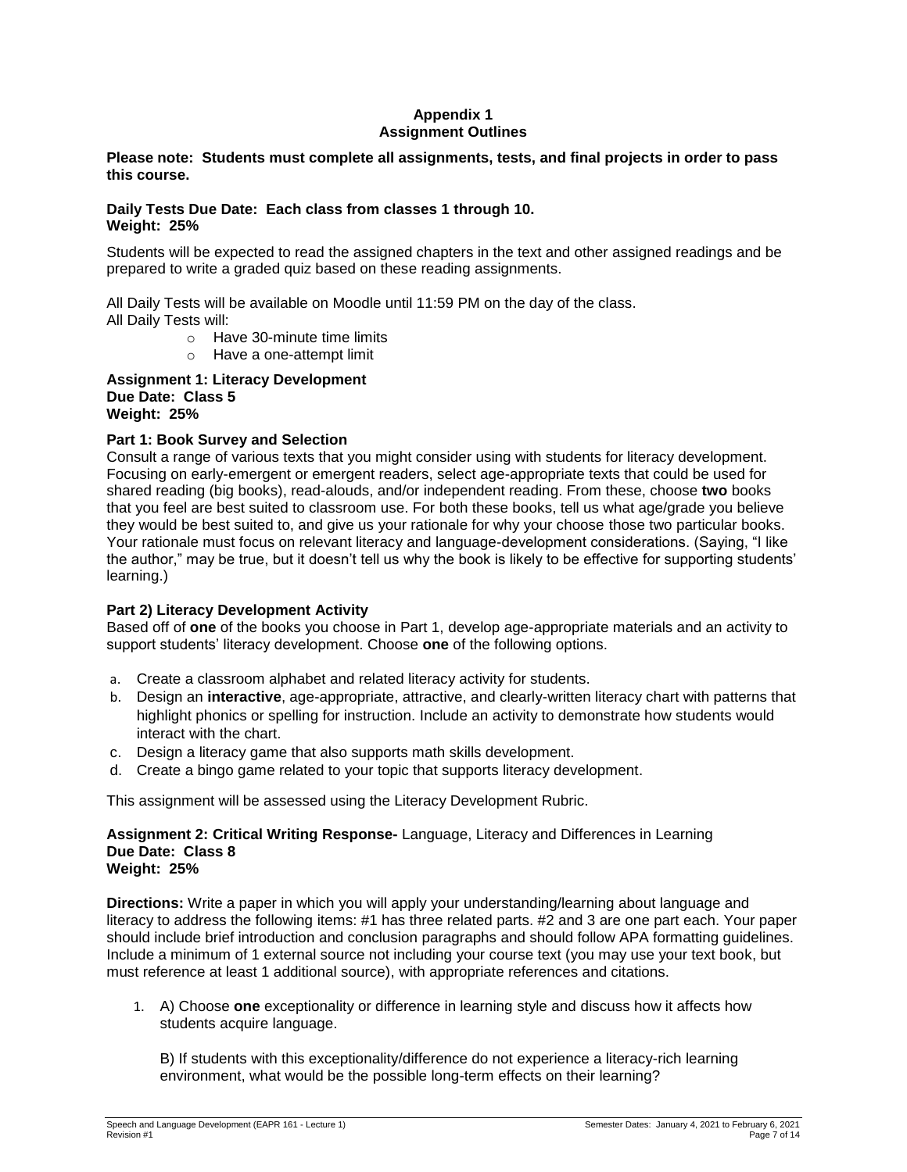### **Appendix 1 Assignment Outlines**

### **Please note: Students must complete all assignments, tests, and final projects in order to pass this course.**

### **Daily Tests Due Date: Each class from classes 1 through 10. Weight: 25%**

Students will be expected to read the assigned chapters in the text and other assigned readings and be prepared to write a graded quiz based on these reading assignments.

All Daily Tests will be available on Moodle until 11:59 PM on the day of the class. All Daily Tests will:

- o Have 30-minute time limits
- o Have a one-attempt limit

**Assignment 1: Literacy Development Due Date: Class 5 Weight: 25%** 

### **Part 1: Book Survey and Selection**

Consult a range of various texts that you might consider using with students for literacy development. Focusing on early-emergent or emergent readers, select age-appropriate texts that could be used for shared reading (big books), read-alouds, and/or independent reading. From these, choose **two** books that you feel are best suited to classroom use. For both these books, tell us what age/grade you believe they would be best suited to, and give us your rationale for why your choose those two particular books. Your rationale must focus on relevant literacy and language-development considerations. (Saying, "I like the author," may be true, but it doesn't tell us why the book is likely to be effective for supporting students' learning.)

### **Part 2) Literacy Development Activity**

Based off of **one** of the books you choose in Part 1, develop age-appropriate materials and an activity to support students' literacy development. Choose **one** of the following options.

- a. Create a classroom alphabet and related literacy activity for students.
- b. Design an **interactive**, age-appropriate, attractive, and clearly-written literacy chart with patterns that highlight phonics or spelling for instruction. Include an activity to demonstrate how students would interact with the chart.
- c. Design a literacy game that also supports math skills development.
- d. Create a bingo game related to your topic that supports literacy development.

This assignment will be assessed using the Literacy Development Rubric.

#### **Assignment 2: Critical Writing Response-** Language, Literacy and Differences in Learning **Due Date: Class 8 Weight: 25%**

**Directions:** Write a paper in which you will apply your understanding/learning about language and literacy to address the following items: #1 has three related parts. #2 and 3 are one part each. Your paper should include brief introduction and conclusion paragraphs and should follow APA formatting guidelines. Include a minimum of 1 external source not including your course text (you may use your text book, but must reference at least 1 additional source), with appropriate references and citations.

1. A) Choose **one** exceptionality or difference in learning style and discuss how it affects how students acquire language.

B) If students with this exceptionality/difference do not experience a literacy-rich learning environment, what would be the possible long-term effects on their learning?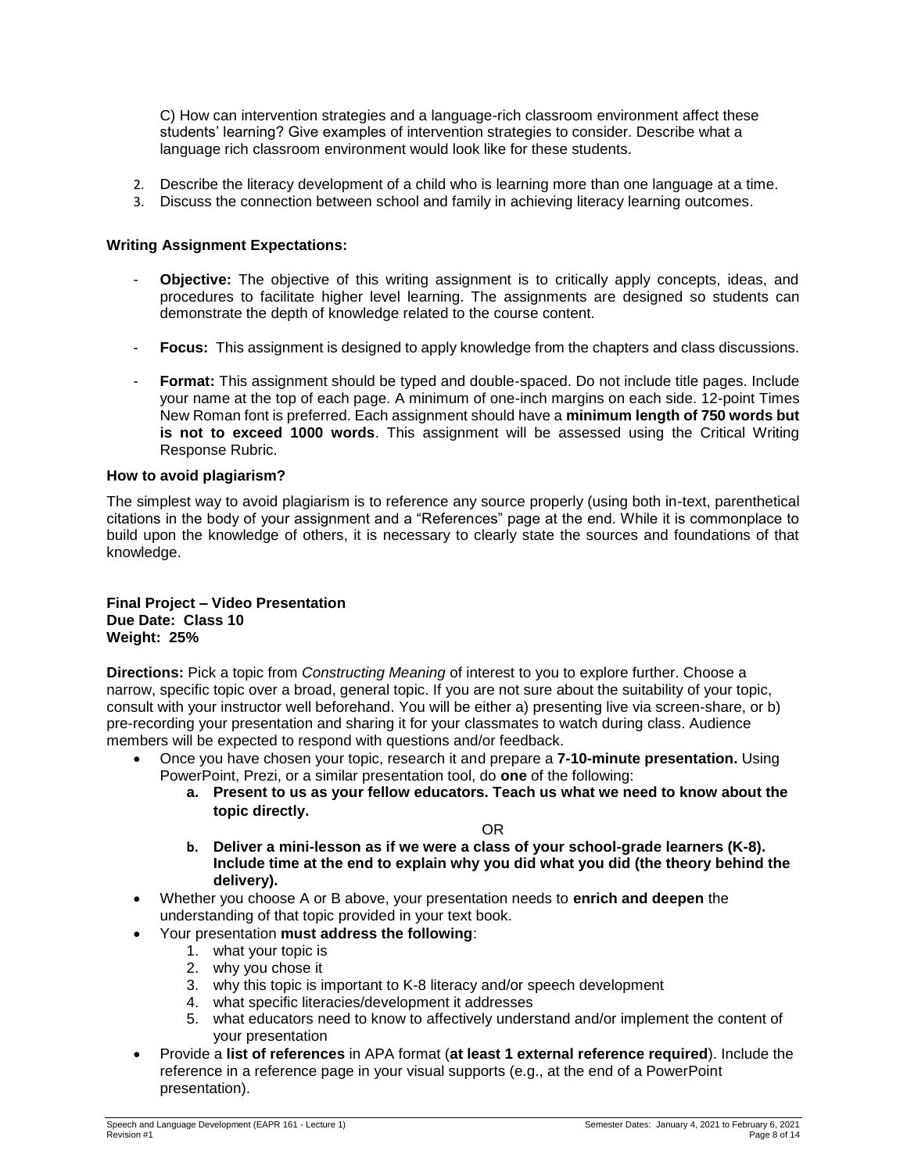C) How can intervention strategies and a language-rich classroom environment affect these students' learning? Give examples of intervention strategies to consider. Describe what a language rich classroom environment would look like for these students.

- 2. Describe the literacy development of a child who is learning more than one language at a time.
- 3. Discuss the connection between school and family in achieving literacy learning outcomes.

### **Writing Assignment Expectations:**

- **Objective:** The objective of this writing assignment is to critically apply concepts, ideas, and procedures to facilitate higher level learning. The assignments are designed so students can demonstrate the depth of knowledge related to the course content.
- **Focus:** This assignment is designed to apply knowledge from the chapters and class discussions.
- Format: This assignment should be typed and double-spaced. Do not include title pages. Include your name at the top of each page. A minimum of one-inch margins on each side. 12-point Times New Roman font is preferred. Each assignment should have a **minimum length of 750 words but is not to exceed 1000 words**. This assignment will be assessed using the Critical Writing Response Rubric.

### **How to avoid plagiarism?**

The simplest way to avoid plagiarism is to reference any source properly (using both in-text, parenthetical citations in the body of your assignment and a "References" page at the end. While it is commonplace to build upon the knowledge of others, it is necessary to clearly state the sources and foundations of that knowledge.

### **Final Project – Video Presentation Due Date: Class 10 Weight: 25%**

**Directions:** Pick a topic from *Constructing Meaning* of interest to you to explore further. Choose a narrow, specific topic over a broad, general topic. If you are not sure about the suitability of your topic, consult with your instructor well beforehand. You will be either a) presenting live via screen-share, or b) pre-recording your presentation and sharing it for your classmates to watch during class. Audience members will be expected to respond with questions and/or feedback.

- Once you have chosen your topic, research it and prepare a **7-10-minute presentation.** Using PowerPoint, Prezi, or a similar presentation tool, do **one** of the following:
	- **a. Present to us as your fellow educators. Teach us what we need to know about the topic directly.**

OR

- **b. Deliver a mini-lesson as if we were a class of your school-grade learners (K-8). Include time at the end to explain why you did what you did (the theory behind the delivery).**
- Whether you choose A or B above, your presentation needs to **enrich and deepen** the understanding of that topic provided in your text book.
- Your presentation **must address the following**:
	- 1. what your topic is
	- 2. why you chose it
	- 3. why this topic is important to K-8 literacy and/or speech development
	- 4. what specific literacies/development it addresses
	- 5. what educators need to know to affectively understand and/or implement the content of your presentation
- Provide a **list of references** in APA format (**at least 1 external reference required**). Include the reference in a reference page in your visual supports (e.g., at the end of a PowerPoint presentation).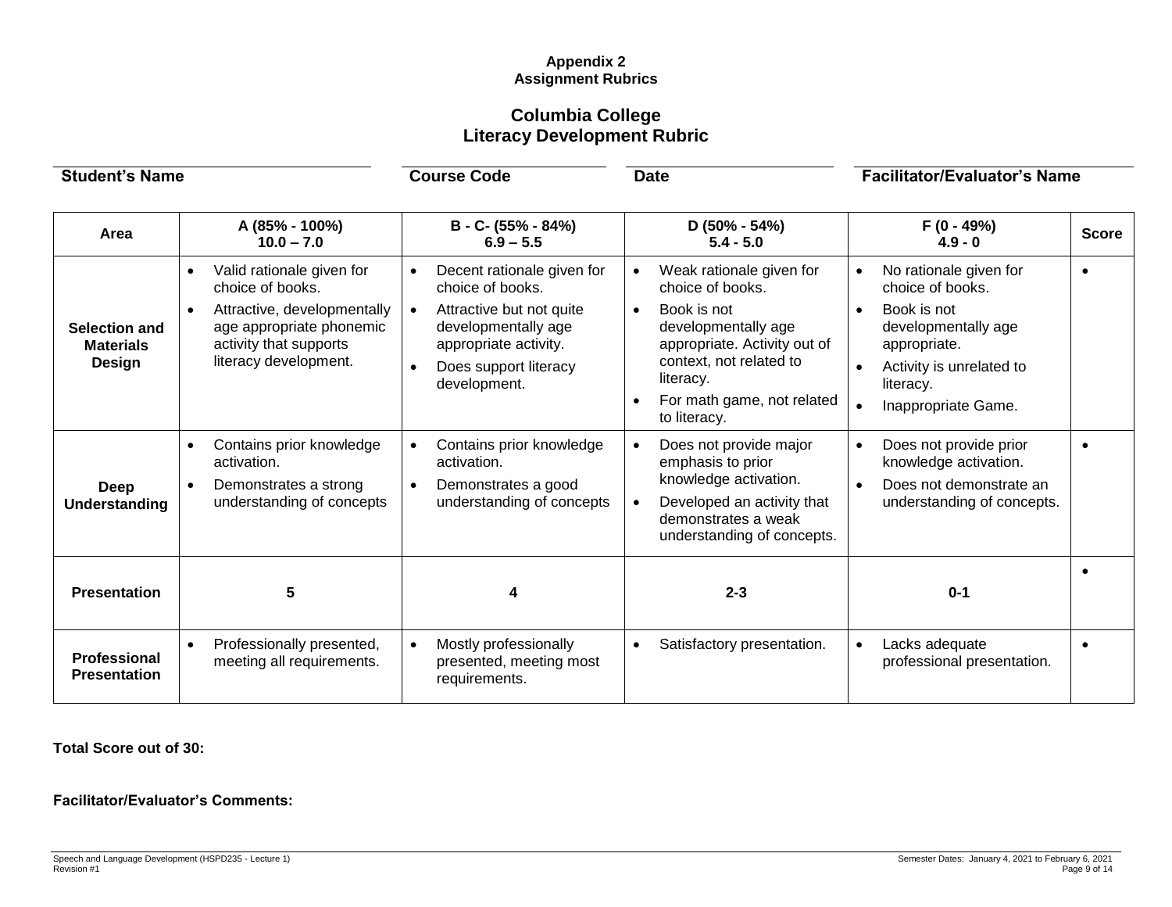# **Appendix 2 Assignment Rubrics**

# **Columbia College Literacy Development Rubric**

| <b>Student's Name</b>                              |                                                                                                                                                                                       | <b>Course Code</b>                                                                                                                                                  | <b>Date</b>                                                                                                                                                                                                                        | <b>Facilitator/Evaluator's Name</b>                                                                                                                              |              |
|----------------------------------------------------|---------------------------------------------------------------------------------------------------------------------------------------------------------------------------------------|---------------------------------------------------------------------------------------------------------------------------------------------------------------------|------------------------------------------------------------------------------------------------------------------------------------------------------------------------------------------------------------------------------------|------------------------------------------------------------------------------------------------------------------------------------------------------------------|--------------|
| Area                                               | A (85% - 100%)<br>$10.0 - 7.0$                                                                                                                                                        | B - C- (55% - 84%)<br>$6.9 - 5.5$                                                                                                                                   | $D(50\% - 54\%)$<br>$5.4 - 5.0$                                                                                                                                                                                                    | $F(0 - 49%)$<br>$4.9 - 0$                                                                                                                                        | <b>Score</b> |
| <b>Selection and</b><br><b>Materials</b><br>Design | Valid rationale given for<br>$\bullet$<br>choice of books.<br>Attractive, developmentally<br>$\bullet$<br>age appropriate phonemic<br>activity that supports<br>literacy development. | Decent rationale given for<br>choice of books.<br>Attractive but not quite<br>developmentally age<br>appropriate activity.<br>Does support literacy<br>development. | Weak rationale given for<br>$\bullet$<br>choice of books.<br>Book is not<br>$\bullet$<br>developmentally age<br>appropriate. Activity out of<br>context, not related to<br>literacy.<br>For math game, not related<br>to literacy. | No rationale given for<br>choice of books.<br>Book is not<br>developmentally age<br>appropriate.<br>Activity is unrelated to<br>literacy.<br>Inappropriate Game. | $\bullet$    |
| Deep<br>Understanding                              | Contains prior knowledge<br>$\bullet$<br>activation.<br>Demonstrates a strong<br>$\bullet$<br>understanding of concepts                                                               | Contains prior knowledge<br>activation.<br>Demonstrates a good<br>$\bullet$<br>understanding of concepts                                                            | Does not provide major<br>$\bullet$<br>emphasis to prior<br>knowledge activation.<br>Developed an activity that<br>$\bullet$<br>demonstrates a weak<br>understanding of concepts.                                                  | Does not provide prior<br>$\bullet$<br>knowledge activation.<br>Does not demonstrate an<br>$\bullet$<br>understanding of concepts.                               |              |
| <b>Presentation</b>                                | 5                                                                                                                                                                                     |                                                                                                                                                                     | $2 - 3$                                                                                                                                                                                                                            | $0 - 1$                                                                                                                                                          |              |
| <b>Professional</b><br><b>Presentation</b>         | Professionally presented,<br>$\bullet$<br>meeting all requirements.                                                                                                                   | Mostly professionally<br>presented, meeting most<br>requirements.                                                                                                   | Satisfactory presentation.<br>$\bullet$                                                                                                                                                                                            | Lacks adequate<br>$\bullet$<br>professional presentation.                                                                                                        | $\bullet$    |

**Total Score out of 30:**

**Facilitator/Evaluator's Comments:**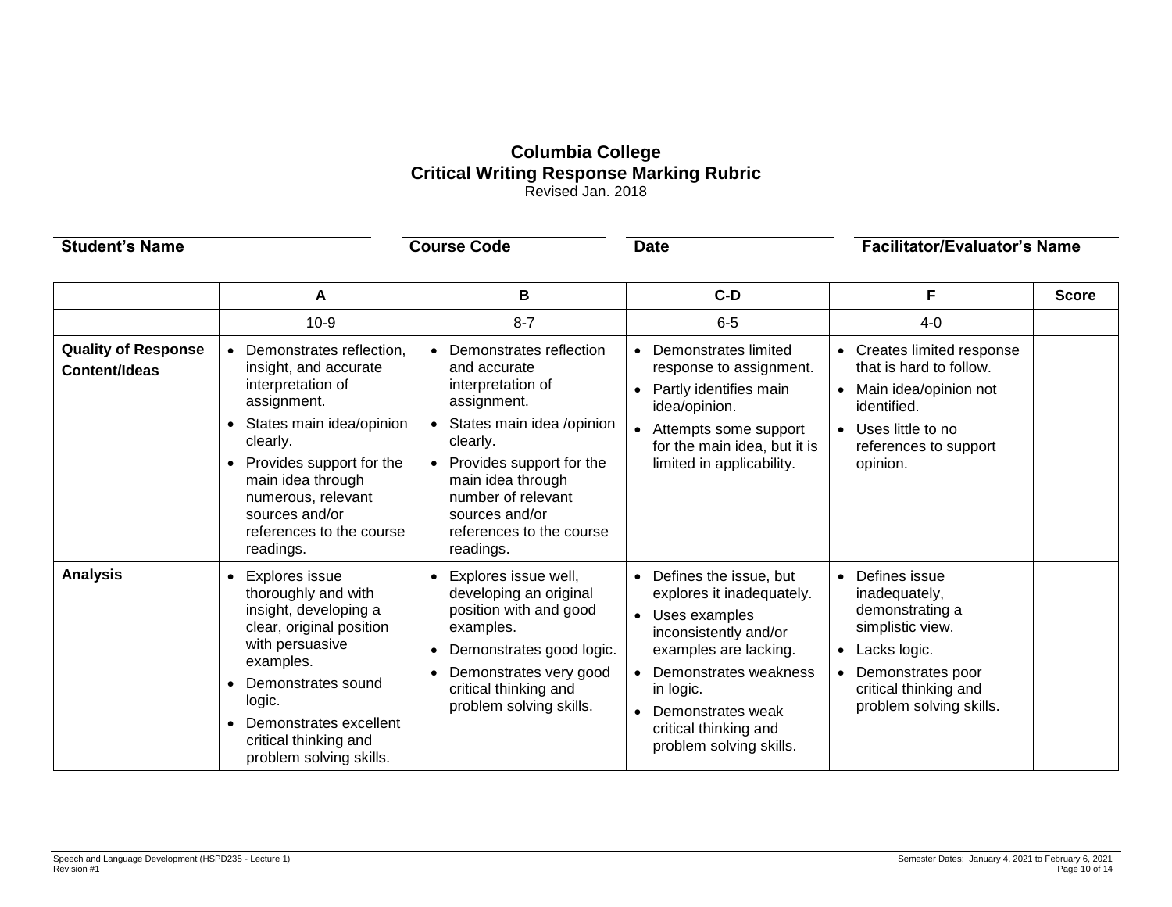# **Columbia College Critical Writing Response Marking Rubric** Revised Jan. 2018

| <b>Student's Name</b>                              |                                                                                                                                                                                                                                                                              | <b>Course Code</b>                                                                                                                                                                                                                                     | <b>Date</b>                                                                                                                                                                                                                                   | <b>Facilitator/Evaluator's Name</b>                                                                                                                                                                   |              |
|----------------------------------------------------|------------------------------------------------------------------------------------------------------------------------------------------------------------------------------------------------------------------------------------------------------------------------------|--------------------------------------------------------------------------------------------------------------------------------------------------------------------------------------------------------------------------------------------------------|-----------------------------------------------------------------------------------------------------------------------------------------------------------------------------------------------------------------------------------------------|-------------------------------------------------------------------------------------------------------------------------------------------------------------------------------------------------------|--------------|
|                                                    | A                                                                                                                                                                                                                                                                            | В                                                                                                                                                                                                                                                      | $C-D$                                                                                                                                                                                                                                         | F                                                                                                                                                                                                     | <b>Score</b> |
|                                                    | $10 - 9$                                                                                                                                                                                                                                                                     | $8 - 7$                                                                                                                                                                                                                                                | $6-5$                                                                                                                                                                                                                                         | $4 - 0$                                                                                                                                                                                               |              |
| <b>Quality of Response</b><br><b>Content/Ideas</b> | Demonstrates reflection,<br>insight, and accurate<br>interpretation of<br>assignment.<br>States main idea/opinion<br>clearly.<br>Provides support for the<br>$\bullet$<br>main idea through<br>numerous, relevant<br>sources and/or<br>references to the course<br>readings. | Demonstrates reflection<br>and accurate<br>interpretation of<br>assignment.<br>States main idea /opinion<br>clearly.<br>Provides support for the<br>main idea through<br>number of relevant<br>sources and/or<br>references to the course<br>readings. | • Demonstrates limited<br>response to assignment.<br>• Partly identifies main<br>idea/opinion.<br>Attempts some support<br>$\bullet$<br>for the main idea, but it is<br>limited in applicability.                                             | Creates limited response<br>that is hard to follow.<br>Main idea/opinion not<br>$\bullet$<br>identified.<br>Uses little to no<br>$\bullet$<br>references to support<br>opinion.                       |              |
| <b>Analysis</b>                                    | <b>Explores issue</b><br>thoroughly and with<br>insight, developing a<br>clear, original position<br>with persuasive<br>examples.<br>Demonstrates sound<br>logic.<br>Demonstrates excellent<br>critical thinking and<br>problem solving skills.                              | Explores issue well,<br>developing an original<br>position with and good<br>examples.<br>Demonstrates good logic.<br>Demonstrates very good<br>critical thinking and<br>problem solving skills.                                                        | • Defines the issue, but<br>explores it inadequately.<br>• Uses examples<br>inconsistently and/or<br>examples are lacking.<br>• Demonstrates weakness<br>in logic.<br>• Demonstrates weak<br>critical thinking and<br>problem solving skills. | Defines issue<br>$\bullet$<br>inadequately,<br>demonstrating a<br>simplistic view.<br>Lacks logic.<br>$\bullet$<br>Demonstrates poor<br>$\bullet$<br>critical thinking and<br>problem solving skills. |              |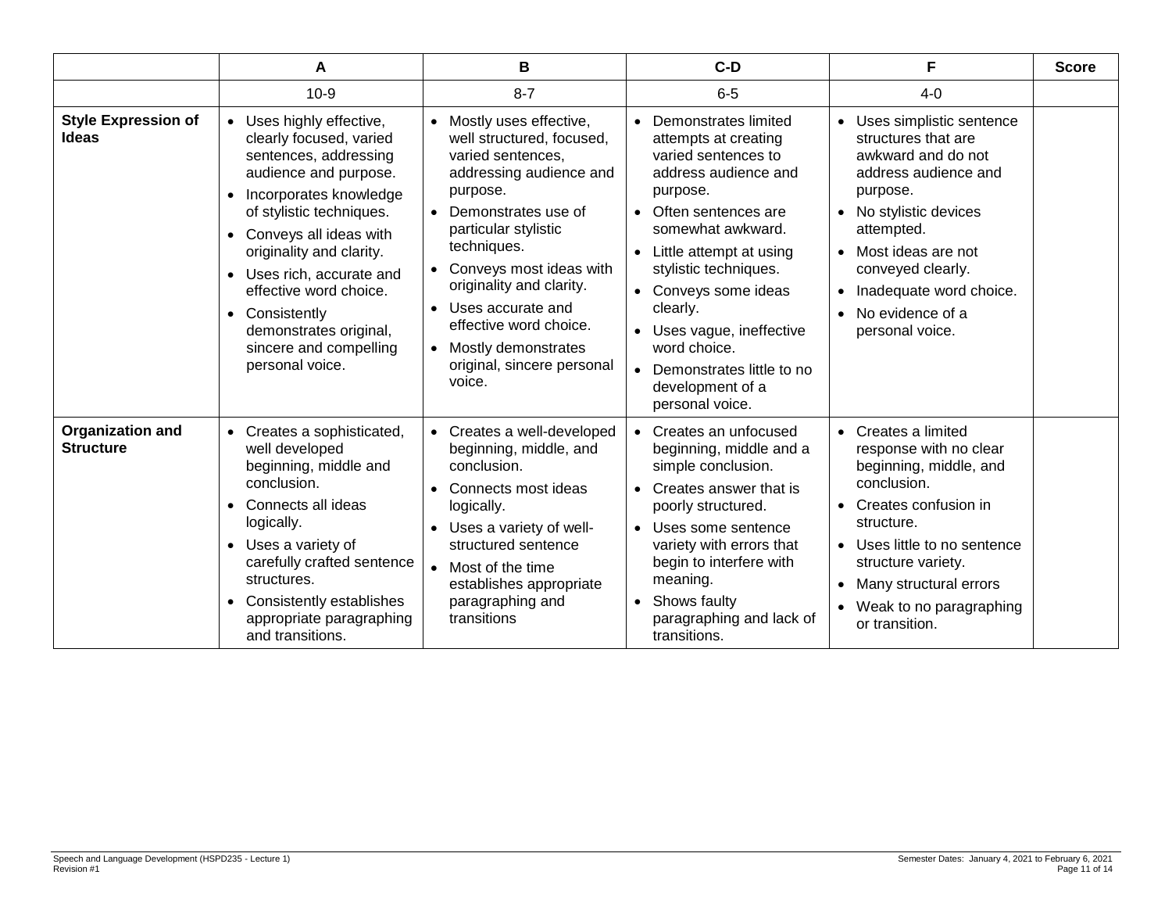|                                             | A                                                                                                                                                                                                                                                                                                                                                                                | в                                                                                                                                                                                                                                                                                                                                                               | $C-D$                                                                                                                                                                                                                                                                                                                                                              | F                                                                                                                                                                                                                                                                                                         | <b>Score</b> |
|---------------------------------------------|----------------------------------------------------------------------------------------------------------------------------------------------------------------------------------------------------------------------------------------------------------------------------------------------------------------------------------------------------------------------------------|-----------------------------------------------------------------------------------------------------------------------------------------------------------------------------------------------------------------------------------------------------------------------------------------------------------------------------------------------------------------|--------------------------------------------------------------------------------------------------------------------------------------------------------------------------------------------------------------------------------------------------------------------------------------------------------------------------------------------------------------------|-----------------------------------------------------------------------------------------------------------------------------------------------------------------------------------------------------------------------------------------------------------------------------------------------------------|--------------|
|                                             | $10-9$                                                                                                                                                                                                                                                                                                                                                                           | $8 - 7$                                                                                                                                                                                                                                                                                                                                                         | $6-5$                                                                                                                                                                                                                                                                                                                                                              | $4 - 0$                                                                                                                                                                                                                                                                                                   |              |
| <b>Style Expression of</b><br><b>Ideas</b>  | • Uses highly effective,<br>clearly focused, varied<br>sentences, addressing<br>audience and purpose.<br>Incorporates knowledge<br>$\bullet$<br>of stylistic techniques.<br>• Conveys all ideas with<br>originality and clarity.<br>• Uses rich, accurate and<br>effective word choice.<br>• Consistently<br>demonstrates original,<br>sincere and compelling<br>personal voice. | Mostly uses effective,<br>well structured, focused,<br>varied sentences,<br>addressing audience and<br>purpose.<br>Demonstrates use of<br>particular stylistic<br>techniques.<br>Conveys most ideas with<br>originality and clarity.<br>Uses accurate and<br>effective word choice.<br>Mostly demonstrates<br>$\bullet$<br>original, sincere personal<br>voice. | Demonstrates limited<br>attempts at creating<br>varied sentences to<br>address audience and<br>purpose.<br>• Often sentences are<br>somewhat awkward.<br>• Little attempt at using<br>stylistic techniques.<br>• Conveys some ideas<br>clearly.<br>• Uses vague, ineffective<br>word choice.<br>• Demonstrates little to no<br>development of a<br>personal voice. | Uses simplistic sentence<br>$\bullet$<br>structures that are<br>awkward and do not<br>address audience and<br>purpose.<br>• No stylistic devices<br>attempted.<br>• Most ideas are not<br>conveyed clearly.<br>Inadequate word choice.<br>$\bullet$<br>No evidence of a<br>$\bullet$<br>personal voice.   |              |
| <b>Organization and</b><br><b>Structure</b> | • Creates a sophisticated,<br>well developed<br>beginning, middle and<br>conclusion.<br>Connects all ideas<br>$\bullet$<br>logically.<br>• Uses a variety of<br>carefully crafted sentence<br>structures.<br>Consistently establishes<br>$\bullet$<br>appropriate paragraphing<br>and transitions.                                                                               | Creates a well-developed<br>beginning, middle, and<br>conclusion.<br>Connects most ideas<br>logically.<br>Uses a variety of well-<br>structured sentence<br>Most of the time<br>establishes appropriate<br>paragraphing and<br>transitions                                                                                                                      | • Creates an unfocused<br>beginning, middle and a<br>simple conclusion.<br>• Creates answer that is<br>poorly structured.<br>• Uses some sentence<br>variety with errors that<br>begin to interfere with<br>meaning.<br>• Shows faulty<br>paragraphing and lack of<br>transitions.                                                                                 | Creates a limited<br>$\bullet$<br>response with no clear<br>beginning, middle, and<br>conclusion.<br>Creates confusion in<br>$\bullet$<br>structure.<br>Uses little to no sentence<br>$\bullet$<br>structure variety.<br>Many structural errors<br>Weak to no paragraphing<br>$\bullet$<br>or transition. |              |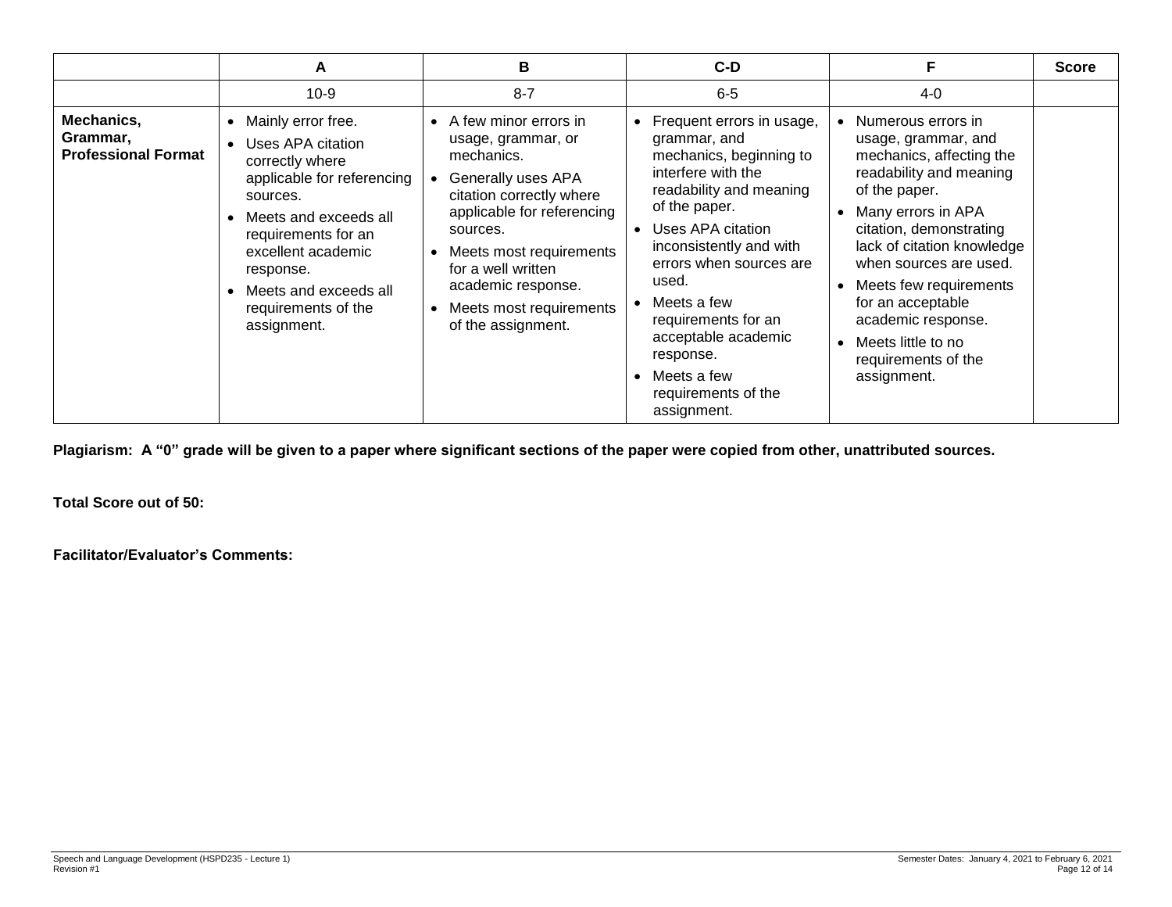|                                                      | A                                                                                                                                                                                                                                                                                | В                                                                                                                                                                                                                                                                                                         | $C-D$                                                                                                                                                                                                                                                                                                                                                     |                                                                                                                                                                                                                                                                                                                                                             | <b>Score</b> |
|------------------------------------------------------|----------------------------------------------------------------------------------------------------------------------------------------------------------------------------------------------------------------------------------------------------------------------------------|-----------------------------------------------------------------------------------------------------------------------------------------------------------------------------------------------------------------------------------------------------------------------------------------------------------|-----------------------------------------------------------------------------------------------------------------------------------------------------------------------------------------------------------------------------------------------------------------------------------------------------------------------------------------------------------|-------------------------------------------------------------------------------------------------------------------------------------------------------------------------------------------------------------------------------------------------------------------------------------------------------------------------------------------------------------|--------------|
|                                                      | $10-9$                                                                                                                                                                                                                                                                           | $8 - 7$                                                                                                                                                                                                                                                                                                   | $6-5$                                                                                                                                                                                                                                                                                                                                                     | $4 - 0$                                                                                                                                                                                                                                                                                                                                                     |              |
| Mechanics,<br>Grammar,<br><b>Professional Format</b> | Mainly error free.<br>$\bullet$<br>Uses APA citation<br>correctly where<br>applicable for referencing<br>sources.<br>Meets and exceeds all<br>requirements for an<br>excellent academic<br>response.<br>Meets and exceeds all<br>$\bullet$<br>requirements of the<br>assignment. | • A few minor errors in<br>usage, grammar, or<br>mechanics.<br>Generally uses APA<br>citation correctly where<br>applicable for referencing<br>sources.<br>Meets most requirements<br>$\bullet$<br>for a well written<br>academic response.<br>Meets most requirements<br>$\bullet$<br>of the assignment. | Frequent errors in usage,<br>grammar, and<br>mechanics, beginning to<br>interfere with the<br>readability and meaning<br>of the paper.<br>Uses APA citation<br>inconsistently and with<br>errors when sources are<br>used.<br>Meets a few<br>requirements for an<br>acceptable academic<br>response.<br>Meets a few<br>requirements of the<br>assignment. | Numerous errors in<br>usage, grammar, and<br>mechanics, affecting the<br>readability and meaning<br>of the paper.<br>Many errors in APA<br>citation, demonstrating<br>lack of citation knowledge<br>when sources are used.<br>Meets few requirements<br>for an acceptable<br>academic response.<br>Meets little to no<br>requirements of the<br>assignment. |              |

**Plagiarism: A "0" grade will be given to a paper where significant sections of the paper were copied from other, unattributed sources.** 

**Total Score out of 50:**

**Facilitator/Evaluator's Comments:**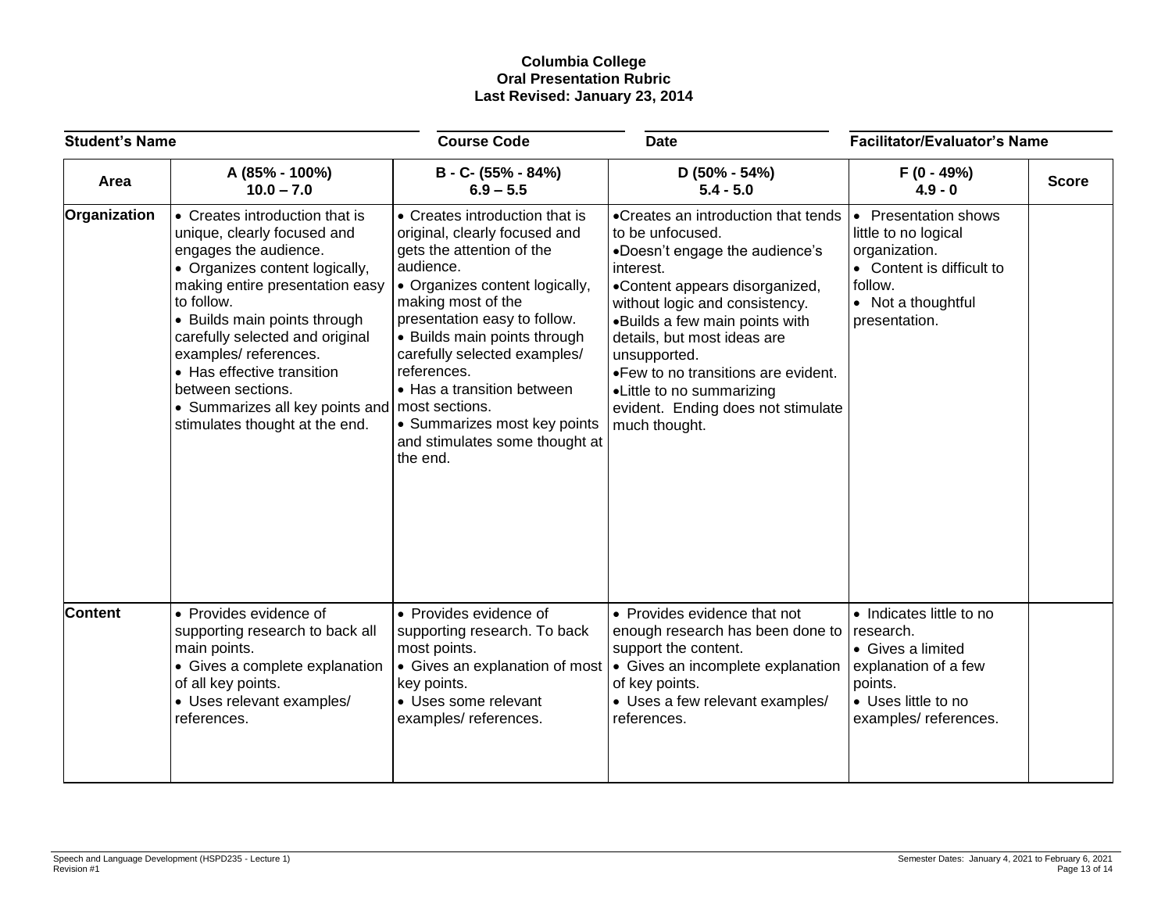### **Columbia College Oral Presentation Rubric Last Revised: January 23, 2014**

| <b>Student's Name</b> |                                                                                                                                                                                                                                                                                                                                                                                                               | <b>Course Code</b>                                                                                                                                                                                                                                                                                                                                                                           | <b>Date</b>                                                                                                                                                                                                                                                                                                                                                                            | <b>Facilitator/Evaluator's Name</b>                                                                                                                            |              |
|-----------------------|---------------------------------------------------------------------------------------------------------------------------------------------------------------------------------------------------------------------------------------------------------------------------------------------------------------------------------------------------------------------------------------------------------------|----------------------------------------------------------------------------------------------------------------------------------------------------------------------------------------------------------------------------------------------------------------------------------------------------------------------------------------------------------------------------------------------|----------------------------------------------------------------------------------------------------------------------------------------------------------------------------------------------------------------------------------------------------------------------------------------------------------------------------------------------------------------------------------------|----------------------------------------------------------------------------------------------------------------------------------------------------------------|--------------|
| Area                  | A (85% - 100%)<br>$10.0 - 7.0$                                                                                                                                                                                                                                                                                                                                                                                | B - C- (55% - 84%)<br>$6.9 - 5.5$                                                                                                                                                                                                                                                                                                                                                            | $D(50\% - 54\%)$<br>$5.4 - 5.0$                                                                                                                                                                                                                                                                                                                                                        | $F(0 - 49%)$<br>$4.9 - 0$                                                                                                                                      | <b>Score</b> |
| Organization          | • Creates introduction that is<br>unique, clearly focused and<br>engages the audience.<br>• Organizes content logically,<br>making entire presentation easy<br>to follow.<br>• Builds main points through<br>carefully selected and original<br>examples/references.<br>• Has effective transition<br>between sections.<br>• Summarizes all key points and   most sections.<br>stimulates thought at the end. | • Creates introduction that is<br>original, clearly focused and<br>gets the attention of the<br>audience.<br>• Organizes content logically,<br>making most of the<br>presentation easy to follow.<br>• Builds main points through<br>carefully selected examples/<br>references.<br>• Has a transition between<br>• Summarizes most key points<br>and stimulates some thought at<br>the end. | •Creates an introduction that tends<br>to be unfocused.<br>•Doesn't engage the audience's<br>interest.<br>•Content appears disorganized,<br>without logic and consistency.<br>•Builds a few main points with<br>details, but most ideas are<br>unsupported.<br>.Few to no transitions are evident.<br>•Little to no summarizing<br>evident. Ending does not stimulate<br>much thought. | <b>Presentation shows</b><br>$\bullet$<br>little to no logical<br>organization.<br>• Content is difficult to<br>follow.<br>• Not a thoughtful<br>presentation. |              |
| <b>Content</b>        | • Provides evidence of<br>supporting research to back all<br>main points.<br>• Gives a complete explanation<br>of all key points.<br>• Uses relevant examples/<br>references.                                                                                                                                                                                                                                 | • Provides evidence of<br>supporting research. To back<br>most points.<br>• Gives an explanation of most<br>key points.<br>• Uses some relevant<br>examples/references.                                                                                                                                                                                                                      | • Provides evidence that not<br>enough research has been done to<br>support the content.<br>$\bullet$ Gives an incomplete explanation<br>of key points.<br>• Uses a few relevant examples/<br>references.                                                                                                                                                                              | • Indicates little to no<br>research.<br>• Gives a limited<br>explanation of a few<br>points.<br>• Uses little to no<br>examples/references.                   |              |